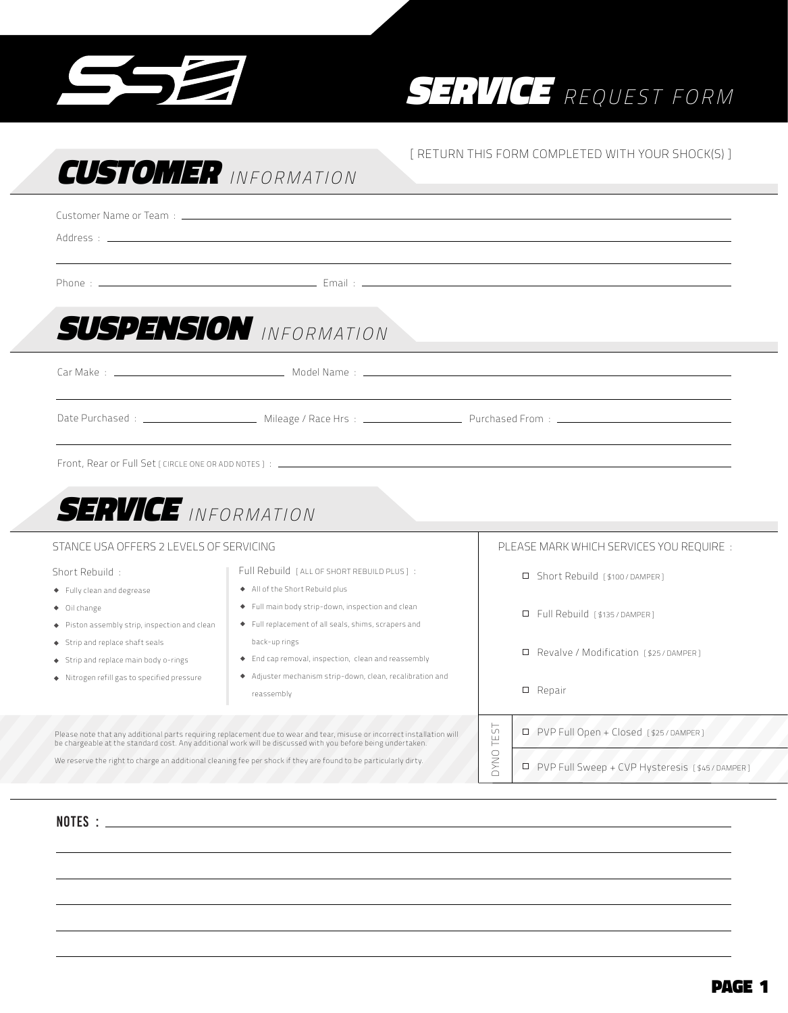

## SERVICE *REQUEST FORM*

#### [ RETURN THIS FORM COMPLETED WITH YOUR SHOCK(S) ]

| <b>CUSTOMER</b> INFORMATION                                                                                                                                                                                                            |                                                                                                                                                                                                                                |                                          | [ RETURN THIS FORM COMPLETED WITH YOUR SHOCK(S) ] |
|----------------------------------------------------------------------------------------------------------------------------------------------------------------------------------------------------------------------------------------|--------------------------------------------------------------------------------------------------------------------------------------------------------------------------------------------------------------------------------|------------------------------------------|---------------------------------------------------|
|                                                                                                                                                                                                                                        | Customer Name or Team : experience of the state of the state of the state of the state of the state of the state of the state of the state of the state of the state of the state of the state of the state of the state of th |                                          |                                                   |
|                                                                                                                                                                                                                                        |                                                                                                                                                                                                                                |                                          |                                                   |
| <b>SUSPENSION</b> INFORMATION                                                                                                                                                                                                          |                                                                                                                                                                                                                                |                                          |                                                   |
|                                                                                                                                                                                                                                        |                                                                                                                                                                                                                                |                                          |                                                   |
|                                                                                                                                                                                                                                        |                                                                                                                                                                                                                                |                                          |                                                   |
|                                                                                                                                                                                                                                        |                                                                                                                                                                                                                                |                                          |                                                   |
| <b>SERVICE</b> INFORMATION                                                                                                                                                                                                             |                                                                                                                                                                                                                                |                                          |                                                   |
| STANCE USA OFFERS 2 LEVELS OF SERVICING                                                                                                                                                                                                |                                                                                                                                                                                                                                | PLEASE MARK WHICH SERVICES YOU REQUIRE : |                                                   |
| Short Rebuild:<br>Fully clean and degrease                                                                                                                                                                                             | Full Rebuild   ALL OF SHORT REBUILD PLUS 1 :<br>All of the Short Rebuild plus                                                                                                                                                  |                                          | □ Short Rebuild [\$100 / DAMPER]                  |
| • Oil change<br>◆ Piston assembly strip, inspection and clean                                                                                                                                                                          | Full main body strip-down, inspection and clean<br>Full replacement of all seals, shims, scrapers and                                                                                                                          |                                          | Full Rebuild [\$135 / DAMPER]                     |
| Strip and replace shaft seals<br>Strip and replace main body o-rings<br>• Nitrogen refill gas to specified pressure                                                                                                                    | back-up rings<br>End cap removal, inspection, clean and reassembly<br>Adjuster mechanism strip-down, clean, recalibration and                                                                                                  |                                          | □ Revalve / Modification [\$25/DAMPER]            |
|                                                                                                                                                                                                                                        | reassembly                                                                                                                                                                                                                     |                                          | $\Box$ Repair                                     |
| Please note that any additional parts requiring replacement due to wear and tear, misuse or incorrect installation will<br>be chargeable at the standard cost. Any additional work will be discussed with you before being undertaken. |                                                                                                                                                                                                                                | TEST                                     | D PVP Full Open + Closed [\$25/DAMPER]            |
| We reserve the right to charge an additional cleaning fee per shock if they are found to be particularly dirty.                                                                                                                        |                                                                                                                                                                                                                                | <b>DANO</b>                              | D PVP Full Sweep + CVP Hysteresis [\$45/DAMPER]   |
|                                                                                                                                                                                                                                        |                                                                                                                                                                                                                                |                                          |                                                   |
|                                                                                                                                                                                                                                        |                                                                                                                                                                                                                                |                                          |                                                   |

HERE